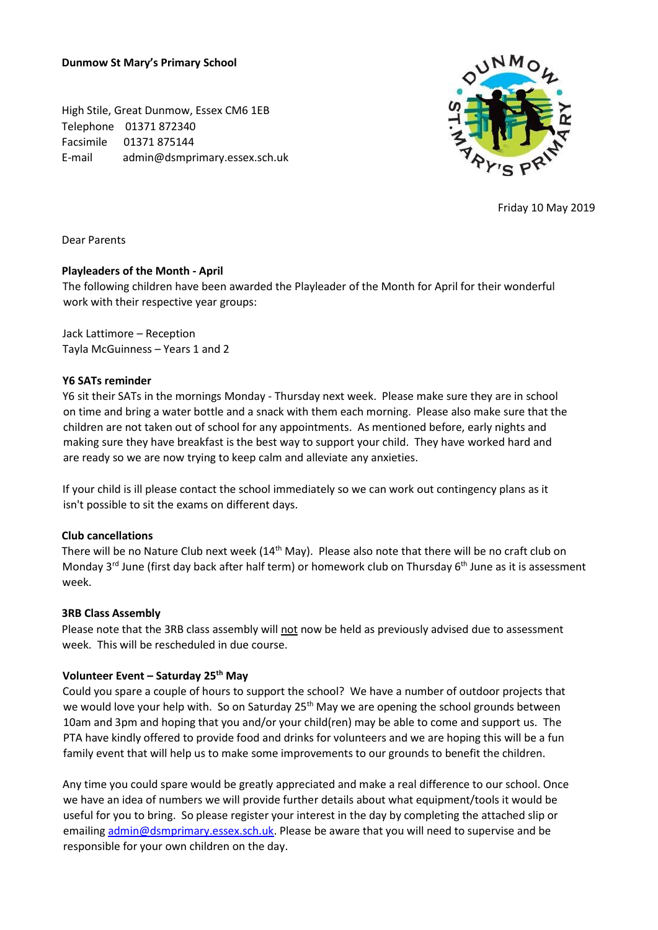**Dunmow St Mary's Primary School** 

High Stile, Great Dunmow, Essex CM6 1EB Telephone 01371 872340 Facsimile 01371 875144 E-mail admin@dsmprimary.essex.sch.uk



Friday 10 May 2019

Dear Parents

## **Playleaders of the Month - April**

The following children have been awarded the Playleader of the Month for April for their wonderful work with their respective year groups:

Jack Lattimore – Reception Tayla McGuinness – Years 1 and 2

## **Y6 SATs reminder**

Y6 sit their SATs in the mornings Monday - Thursday next week. Please make sure they are in school on time and bring a water bottle and a snack with them each morning. Please also make sure that the children are not taken out of school for any appointments. As mentioned before, early nights and making sure they have breakfast is the best way to support your child. They have worked hard and are ready so we are now trying to keep calm and alleviate any anxieties.

If your child is ill please contact the school immediately so we can work out contingency plans as it isn't possible to sit the exams on different days.

## **Club cancellations**

There will be no Nature Club next week (14<sup>th</sup> May). Please also note that there will be no craft club on Monday 3<sup>rd</sup> June (first day back after half term) or homework club on Thursday 6<sup>th</sup> June as it is assessment week.

## **3RB Class Assembly**

Please note that the 3RB class assembly will not now be held as previously advised due to assessment week. This will be rescheduled in due course.

## **Volunteer Event – Saturday 25th May**

Could you spare a couple of hours to support the school? We have a number of outdoor projects that we would love your help with. So on Saturday 25<sup>th</sup> May we are opening the school grounds between 10am and 3pm and hoping that you and/or your child(ren) may be able to come and support us. The PTA have kindly offered to provide food and drinks for volunteers and we are hoping this will be a fun family event that will help us to make some improvements to our grounds to benefit the children.

Any time you could spare would be greatly appreciated and make a real difference to our school. Once we have an idea of numbers we will provide further details about what equipment/tools it would be useful for you to bring. So please register your interest in the day by completing the attached slip or emailin[g admin@dsmprimary.essex.sch.uk.](mailto:admin@dsmprimary.essex.sch.uk) Please be aware that you will need to supervise and be responsible for your own children on the day.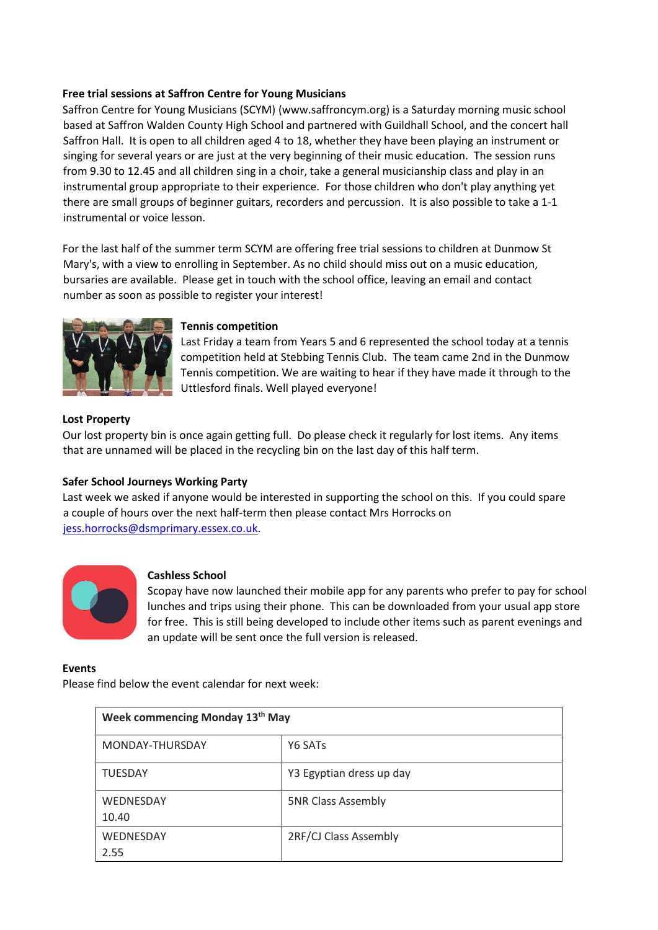## **Free trial sessions at Saffron Centre for Young Musicians**

Saffron Centre for Young Musicians (SCYM) [\(www.saffroncym.org\)](http://www.saffroncym.org/) is a Saturday morning music school based at Saffron Walden County High School and partnered with Guildhall School, and the concert hall Saffron Hall. It is open to all children aged 4 to 18, whether they have been playing an instrument or singing for several years or are just at the very beginning of their music education. The session runs from 9.30 to 12.45 and all children sing in a choir, take a general musicianship class and play in an instrumental group appropriate to their experience. For those children who don't play anything yet there are small groups of beginner guitars, recorders and percussion. It is also possible to take a 1-1 instrumental or voice lesson.

For the last half of the summer term SCYM are offering free trial sessions to children at Dunmow St Mary's, with a view to enrolling in September. As no child should miss out on a music education, bursaries are available. Please get in touch with the school office, leaving an email and contact number as soon as possible to register your interest!



## **Tennis competition**

Last Friday a team from Years 5 and 6 represented the school today at a tennis competition held at Stebbing Tennis Club. The team came 2nd in the Dunmow Tennis competition. We are waiting to hear if they have made it through to the Uttlesford finals. Well played everyone!

## **Lost Property**

Our lost property bin is once again getting full. Do please check it regularly for lost items. Any items that are unnamed will be placed in the recycling bin on the last day of this half term.

## **Safer School Journeys Working Party**

Last week we asked if anyone would be interested in supporting the school on this. If you could spare a couple of hours over the next half-term then please contact Mrs Horrocks on [jess.horrocks@dsmprimary.essex.co.uk.](mailto:jess.horrocks@dsmprimary.essex.co.uk)



## **Cashless School**

Scopay have now launched their mobile app for any parents who prefer to pay for school lunches and trips using their phone. This can be downloaded from your usual app store for free. This is still being developed to include other items such as parent evenings and an update will be sent once the full version is released.

## **Events**

Please find below the event calendar for next week:

| Week commencing Monday 13th May |                           |
|---------------------------------|---------------------------|
| MONDAY-THURSDAY                 | Y6 SATs                   |
| <b>TUESDAY</b>                  | Y3 Egyptian dress up day  |
| <b>WEDNESDAY</b>                | <b>5NR Class Assembly</b> |
| 10.40                           |                           |
| WEDNESDAY                       | 2RF/CJ Class Assembly     |
| 2.55                            |                           |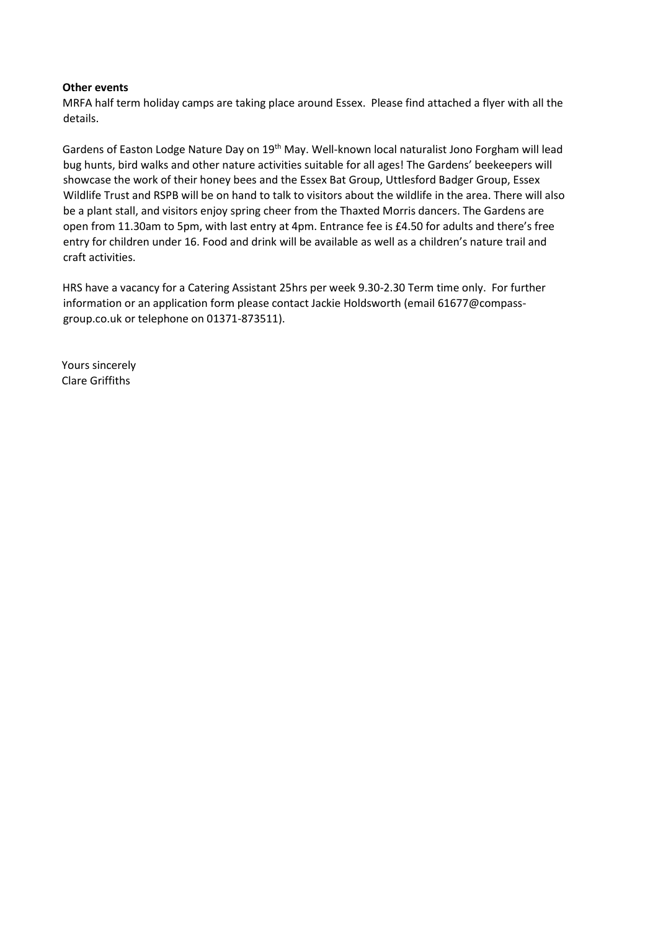#### **Other events**

MRFA half term holiday camps are taking place around Essex. Please find attached a flyer with all the details.

Gardens of Easton Lodge Nature Day on 19<sup>th</sup> May. Well-known local naturalist Jono Forgham will lead bug hunts, bird walks and other nature activities suitable for all ages! The Gardens' beekeepers will showcase the work of their honey bees and the Essex Bat Group, Uttlesford Badger Group, Essex Wildlife Trust and RSPB will be on hand to talk to visitors about the wildlife in the area. There will also be a plant stall, and visitors enjoy spring cheer from the Thaxted Morris dancers. The Gardens are open from 11.30am to 5pm, with last entry at 4pm. Entrance fee is £4.50 for adults and there's free entry for children under 16. Food and drink will be available as well as a children's nature trail and craft activities.

HRS have a vacancy for a Catering Assistant 25hrs per week 9.30-2.30 Term time only. For further information or an application form please contact Jackie Holdsworth (email [61677@compass](mailto:61677@compass-group.co.uk)[group.co.uk](mailto:61677@compass-group.co.uk) or telephone on 01371-873511).

Yours sincerely Clare Griffiths